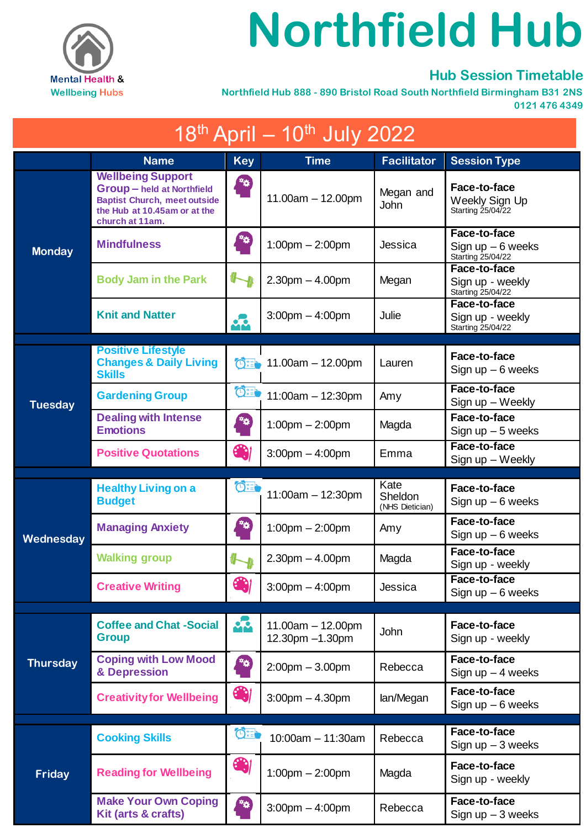

## **Northfield Hub**

## **Hub Session Timetable**

 **Northfield Hub 888 - 890 Bristol Road South Northfield Birmingham B31 2NS 0121 476 4349**

| $18^{th}$ April – $10^{th}$ July 2022 |                                                                                                                                                         |                   |                                                      |                                    |                                                         |  |  |  |
|---------------------------------------|---------------------------------------------------------------------------------------------------------------------------------------------------------|-------------------|------------------------------------------------------|------------------------------------|---------------------------------------------------------|--|--|--|
|                                       | <b>Name</b>                                                                                                                                             | <b>Key</b>        | <b>Time</b>                                          | <b>Facilitator</b>                 | <b>Session Type</b>                                     |  |  |  |
| <b>Monday</b>                         | <b>Wellbeing Support</b><br><b>Group - held at Northfield</b><br><b>Baptist Church, meet outside</b><br>the Hub at 10.45am or at the<br>church at 11am. | $\frac{1}{2}$     | $11.00am - 12.00pm$                                  | Megan and<br>John                  | Face-to-face<br>Weekly Sign Up<br>Starting 25/04/22     |  |  |  |
|                                       | <b>Mindfulness</b>                                                                                                                                      | **)               | $1:00$ pm $- 2:00$ pm                                | Jessica                            | Face-to-face<br>Sign up $-6$ weeks<br>Starting 25/04/22 |  |  |  |
|                                       | <b>Body Jam in the Park</b>                                                                                                                             |                   | $2.30pm - 4.00pm$                                    | Megan                              | Face-to-face<br>Sign up - weekly<br>Starting 25/04/22   |  |  |  |
|                                       | <b>Knit and Natter</b>                                                                                                                                  | 42                | $3:00$ pm $-4:00$ pm                                 | Julie                              | Face-to-face<br>Sign up - weekly<br>Starting 25/04/22   |  |  |  |
|                                       | <b>Positive Lifestyle</b>                                                                                                                               |                   |                                                      |                                    |                                                         |  |  |  |
| <b>Tuesday</b>                        | <b>Changes &amp; Daily Living</b><br><b>Skills</b>                                                                                                      | 付き                | $11.00am - 12.00pm$                                  | Lauren                             | Face-to-face<br>Sign up $-6$ weeks                      |  |  |  |
|                                       | <b>Gardening Group</b>                                                                                                                                  | $O^+$             | $11:00am - 12:30pm$                                  | Amy                                | Face-to-face<br>Sign up - Weekly                        |  |  |  |
|                                       | <b>Dealing with Intense</b><br><b>Emotions</b>                                                                                                          | **                | $1:00$ pm $- 2:00$ pm                                | Magda                              | Face-to-face<br>Sign up $-5$ weeks                      |  |  |  |
|                                       | <b>Positive Quotations</b>                                                                                                                              | 4                 | $3:00$ pm $-4:00$ pm                                 | Emma                               | Face-to-face<br>Sign up - Weekly                        |  |  |  |
|                                       |                                                                                                                                                         |                   |                                                      |                                    |                                                         |  |  |  |
|                                       | <b>Healthy Living on a</b><br><b>Budget</b>                                                                                                             | $O_{\frac{1}{2}}$ | $11:00am - 12:30pm$                                  | Kate<br>Sheldon<br>(NHS Dietician) | Face-to-face<br>Sign up $-6$ weeks                      |  |  |  |
| Wednesday                             | <b>Managing Anxiety</b>                                                                                                                                 | **                | $1:00$ pm $- 2:00$ pm                                | Amy                                | Face-to-face<br>Sign up $-6$ weeks                      |  |  |  |
|                                       | <b>Walking group</b>                                                                                                                                    |                   | $2.30pm - 4.00pm$                                    | Magda                              | Face-to-face<br>Sign up - weekly                        |  |  |  |
|                                       | <b>Creative Writing</b>                                                                                                                                 | 61                | $3:00$ pm $-4:00$ pm                                 | Jessica                            | Face-to-face<br>Sign up $-6$ weeks                      |  |  |  |
|                                       | <b>Coffee and Chat -Social</b>                                                                                                                          | <br>              | $11.00am - 12.00pm$                                  | <b>John</b>                        | Face-to-face                                            |  |  |  |
| <b>Thursday</b>                       | <b>Group</b><br><b>Coping with Low Mood</b><br>& Depression                                                                                             | 触                 | 12.30pm -1.30pm<br>$2:00 \text{pm} - 3.00 \text{pm}$ | Rebecca                            | Sign up - weekly<br>Face-to-face<br>Sign up $-4$ weeks  |  |  |  |
|                                       | <b>Creativity for Wellbeing</b>                                                                                                                         | 4                 | $3:00$ pm $-4.30$ pm                                 | lan/Megan                          | Face-to-face<br>Sign up $-6$ weeks                      |  |  |  |
|                                       | <b>Cooking Skills</b>                                                                                                                                   | $\mathbf{O}$      | $10:00$ am $-11:30$ am                               | Rebecca                            | Face-to-face<br>Sign up $-3$ weeks                      |  |  |  |
| Friday                                | <b>Reading for Wellbeing</b>                                                                                                                            | 6                 | $1:00 \text{pm} - 2:00 \text{pm}$                    | Magda                              | Face-to-face<br>Sign up - weekly                        |  |  |  |